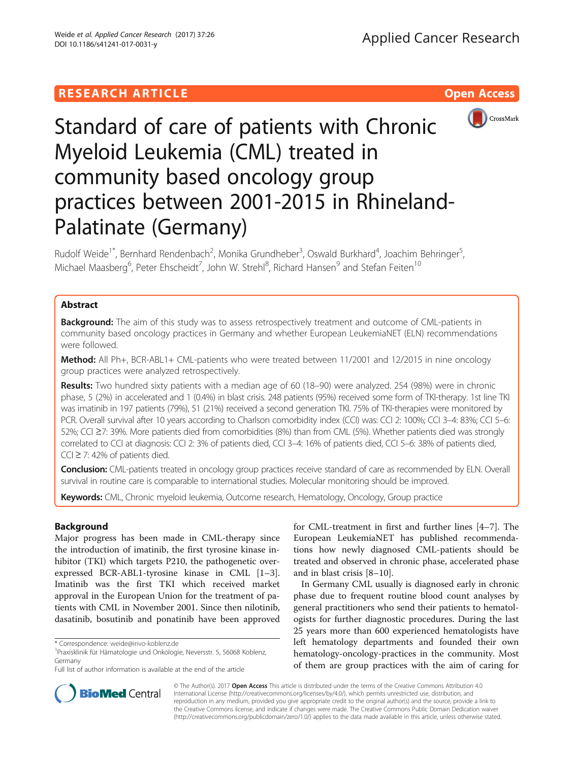## **RESEARCH ARTICLE Example 2018 12:30 The Contract of Contract ACCESS**



# Standard of care of patients with Chronic Myeloid Leukemia (CML) treated in community based oncology group practices between 2001-2015 in Rhineland-Palatinate (Germany)

Rudolf Weide<sup>1\*</sup>, Bernhard Rendenbach<sup>2</sup>, Monika Grundheber<sup>3</sup>, Oswald Burkhard<sup>4</sup>, Joachim Behringer<sup>5</sup> , Michael Maasberg<sup>6</sup>, Peter Ehscheidt<sup>7</sup>, John W. Strehl<sup>8</sup>, Richard Hansen<sup>9</sup> and Stefan Feiten<sup>10</sup>

## Abstract

**Background:** The aim of this study was to assess retrospectively treatment and outcome of CML-patients in community based oncology practices in Germany and whether European LeukemiaNET (ELN) recommendations were followed.

Method: All Ph+, BCR-ABL1+ CML-patients who were treated between 11/2001 and 12/2015 in nine oncology group practices were analyzed retrospectively.

Results: Two hundred sixty patients with a median age of 60 (18–90) were analyzed. 254 (98%) were in chronic phase, 5 (2%) in accelerated and 1 (0.4%) in blast crisis. 248 patients (95%) received some form of TKI-therapy. 1st line TKI was imatinib in 197 patients (79%), 51 (21%) received a second generation TKI. 75% of TKI-therapies were monitored by PCR. Overall survival after 10 years according to Charlson comorbidity index (CCI) was: CCI 2: 100%; CCI 3–4: 83%; CCI 5–6: 52%; CCI ≥7: 39%. More patients died from comorbidities (8%) than from CML (5%). Whether patients died was strongly correlated to CCI at diagnosis: CCI 2: 3% of patients died, CCI 3–4: 16% of patients died, CCI 5–6: 38% of patients died, CCI ≥ 7: 42% of patients died.

Conclusion: CML-patients treated in oncology group practices receive standard of care as recommended by ELN. Overall survival in routine care is comparable to international studies. Molecular monitoring should be improved.

Keywords: CML, Chronic myeloid leukemia, Outcome research, Hematology, Oncology, Group practice

## Background

Major progress has been made in CML-therapy since the introduction of imatinib, the first tyrosine kinase inhibitor (TKI) which targets P210, the pathogenetic overexpressed BCR-ABL1-tyrosine kinase in CML [\[1](#page-7-0)–[3](#page-7-0)]. Imatinib was the first TKI which received market approval in the European Union for the treatment of patients with CML in November 2001. Since then nilotinib, dasatinib, bosutinib and ponatinib have been approved for CML-treatment in first and further lines [\[4](#page-7-0)–[7](#page-7-0)]. The European LeukemiaNET has published recommendations how newly diagnosed CML-patients should be treated and observed in chronic phase, accelerated phase and in blast crisis [[8](#page-7-0)–[10](#page-7-0)].

In Germany CML usually is diagnosed early in chronic phase due to frequent routine blood count analyses by general practitioners who send their patients to hematologists for further diagnostic procedures. During the last 25 years more than 600 experienced hematologists have left hematology departments and founded their own hematology-oncology-practices in the community. Most of them are group practices with the aim of caring for



© The Author(s). 2017 **Open Access** This article is distributed under the terms of the Creative Commons Attribution 4.0 International License [\(http://creativecommons.org/licenses/by/4.0/](http://creativecommons.org/licenses/by/4.0/)), which permits unrestricted use, distribution, and reproduction in any medium, provided you give appropriate credit to the original author(s) and the source, provide a link to the Creative Commons license, and indicate if changes were made. The Creative Commons Public Domain Dedication waiver [\(http://creativecommons.org/publicdomain/zero/1.0/](http://creativecommons.org/publicdomain/zero/1.0/)) applies to the data made available in this article, unless otherwise stated.

<sup>\*</sup> Correspondence: [weide@invo-koblenz.de](mailto:weide@invo-koblenz.de) <sup>1</sup>

Praxisklinik für Hämatologie und Onkologie, Neversstr. 5, 56068 Koblenz, Germany

Full list of author information is available at the end of the article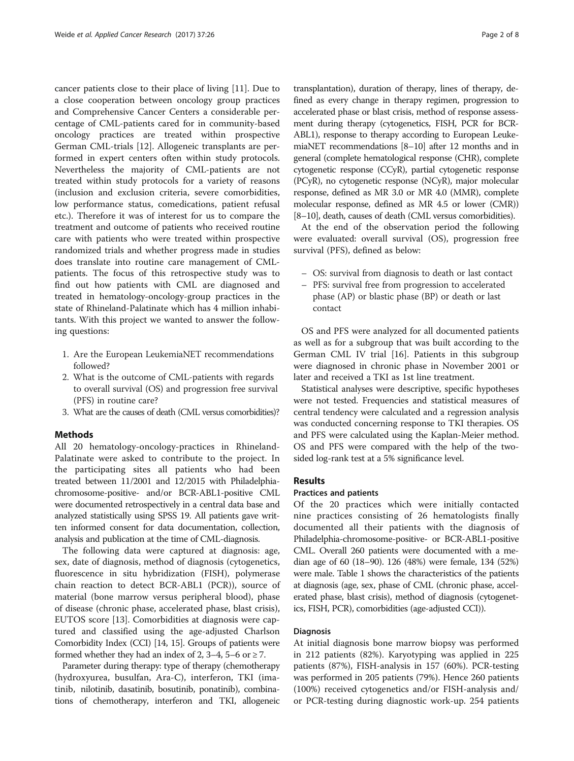cancer patients close to their place of living [[11\]](#page-7-0). Due to a close cooperation between oncology group practices and Comprehensive Cancer Centers a considerable percentage of CML-patients cared for in community-based oncology practices are treated within prospective German CML-trials [[12\]](#page-7-0). Allogeneic transplants are performed in expert centers often within study protocols. Nevertheless the majority of CML-patients are not treated within study protocols for a variety of reasons (inclusion and exclusion criteria, severe comorbidities, low performance status, comedications, patient refusal etc.). Therefore it was of interest for us to compare the treatment and outcome of patients who received routine care with patients who were treated within prospective randomized trials and whether progress made in studies does translate into routine care management of CMLpatients. The focus of this retrospective study was to find out how patients with CML are diagnosed and treated in hematology-oncology-group practices in the state of Rhineland-Palatinate which has 4 million inhabitants. With this project we wanted to answer the following questions:

- 1. Are the European LeukemiaNET recommendations followed?
- 2. What is the outcome of CML-patients with regards to overall survival (OS) and progression free survival (PFS) in routine care?
- 3. What are the causes of death (CML versus comorbidities)?

## Methods

All 20 hematology-oncology-practices in Rhineland-Palatinate were asked to contribute to the project. In the participating sites all patients who had been treated between 11/2001 and 12/2015 with Philadelphiachromosome-positive- and/or BCR-ABL1-positive CML were documented retrospectively in a central data base and analyzed statistically using SPSS 19. All patients gave written informed consent for data documentation, collection, analysis and publication at the time of CML-diagnosis.

The following data were captured at diagnosis: age, sex, date of diagnosis, method of diagnosis (cytogenetics, fluorescence in situ hybridization (FISH), polymerase chain reaction to detect BCR-ABL1 (PCR)), source of material (bone marrow versus peripheral blood), phase of disease (chronic phase, accelerated phase, blast crisis), EUTOS score [[13](#page-7-0)]. Comorbidities at diagnosis were captured and classified using the age-adjusted Charlson Comorbidity Index (CCI) [\[14](#page-7-0), [15\]](#page-7-0). Groups of patients were formed whether they had an index of 2, 3–4, 5–6 or  $\geq$  7.

Parameter during therapy: type of therapy (chemotherapy (hydroxyurea, busulfan, Ara-C), interferon, TKI (imatinib, nilotinib, dasatinib, bosutinib, ponatinib), combinations of chemotherapy, interferon and TKI, allogeneic transplantation), duration of therapy, lines of therapy, defined as every change in therapy regimen, progression to accelerated phase or blast crisis, method of response assessment during therapy (cytogenetics, FISH, PCR for BCR-ABL1), response to therapy according to European LeukemiaNET recommendations [\[8](#page-7-0)–[10\]](#page-7-0) after 12 months and in general (complete hematological response (CHR), complete cytogenetic response (CCyR), partial cytogenetic response (PCyR), no cytogenetic response (NCyR), major molecular response, defined as MR 3.0 or MR 4.0 (MMR), complete molecular response, defined as MR 4.5 or lower (CMR)) [[8](#page-7-0)–[10\]](#page-7-0), death, causes of death (CML versus comorbidities).

At the end of the observation period the following were evaluated: overall survival (OS), progression free survival (PFS), defined as below:

- OS: survival from diagnosis to death or last contact
- PFS: survival free from progression to accelerated phase (AP) or blastic phase (BP) or death or last contact

OS and PFS were analyzed for all documented patients as well as for a subgroup that was built according to the German CML IV trial [\[16](#page-7-0)]. Patients in this subgroup were diagnosed in chronic phase in November 2001 or later and received a TKI as 1st line treatment.

Statistical analyses were descriptive, specific hypotheses were not tested. Frequencies and statistical measures of central tendency were calculated and a regression analysis was conducted concerning response to TKI therapies. OS and PFS were calculated using the Kaplan-Meier method. OS and PFS were compared with the help of the twosided log-rank test at a 5% significance level.

## Results

## Practices and patients

Of the 20 practices which were initially contacted nine practices consisting of 26 hematologists finally documented all their patients with the diagnosis of Philadelphia-chromosome-positive- or BCR-ABL1-positive CML. Overall 260 patients were documented with a median age of 60 (18–90). 126 (48%) were female, 134 (52%) were male. Table [1](#page-2-0) shows the characteristics of the patients at diagnosis (age, sex, phase of CML (chronic phase, accelerated phase, blast crisis), method of diagnosis (cytogenetics, FISH, PCR), comorbidities (age-adjusted CCI)).

#### Diagnosis

At initial diagnosis bone marrow biopsy was performed in 212 patients (82%). Karyotyping was applied in 225 patients (87%), FISH-analysis in 157 (60%). PCR-testing was performed in 205 patients (79%). Hence 260 patients (100%) received cytogenetics and/or FISH-analysis and/ or PCR-testing during diagnostic work-up. 254 patients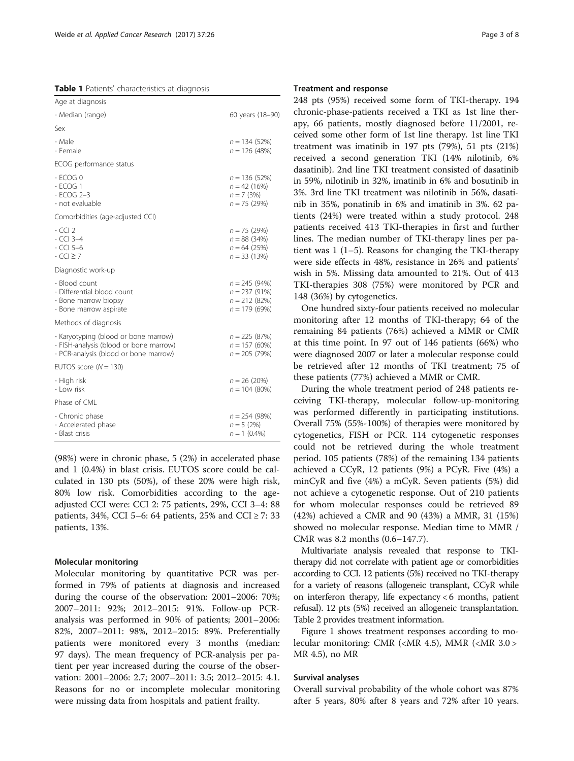<span id="page-2-0"></span>Table 1 Patients' characteristics at diagnosis

| Age at diagnosis                                                                                                        |                                                                      |  |
|-------------------------------------------------------------------------------------------------------------------------|----------------------------------------------------------------------|--|
| - Median (range)                                                                                                        | 60 years (18-90)                                                     |  |
| Sex                                                                                                                     |                                                                      |  |
| - Male<br>- Female                                                                                                      | $n = 134(52%)$<br>$n = 126$ (48%)                                    |  |
| ECOG performance status                                                                                                 |                                                                      |  |
| $-$ ECOG 0<br>$-$ ECOG 1<br>$-$ ECOG 2-3<br>- not evaluable                                                             | $n = 136(52%)$<br>$n = 42(16%)$<br>$n = 7$ (3%)<br>$n = 75(29%)$     |  |
| Comorbidities (age-adjusted CCI)                                                                                        |                                                                      |  |
| $-CC12$<br>$-$ CCI 3-4<br>$-$ CCI 5 $-6$<br>$-CCI \geq 7$                                                               | $n = 75(29%)$<br>$n = 88(34%)$<br>$n = 64$ (25%)<br>$n = 33(13%)$    |  |
| Diagnostic work-up                                                                                                      |                                                                      |  |
| - Blood count<br>- Differential blood count<br>- Bone marrow biopsy<br>- Bone marrow aspirate                           | $n = 245(94%)$<br>$n = 237(91%)$<br>$n = 212(82%)$<br>$n = 179(69%)$ |  |
| Methods of diagnosis                                                                                                    |                                                                      |  |
| - Karyotyping (blood or bone marrow)<br>- FISH-analysis (blood or bone marrow)<br>- PCR-analysis (blood or bone marrow) | $n = 225 (87%)$<br>$n = 157(60%)$<br>$n = 205(79%)$                  |  |
| EUTOS score $(N = 130)$                                                                                                 |                                                                      |  |
| - High risk<br>- I ow risk                                                                                              | $n = 26(20%)$<br>$n = 104 (80%)$                                     |  |
| Phase of CMI                                                                                                            |                                                                      |  |
| - Chronic phase<br>- Accelerated phase<br>- Blast crisis                                                                | $n = 254(98%)$<br>$n = 5(2%)$<br>$n = 1$ (0.4%)                      |  |

(98%) were in chronic phase, 5 (2%) in accelerated phase and 1 (0.4%) in blast crisis. EUTOS score could be calculated in 130 pts (50%), of these 20% were high risk, 80% low risk. Comorbidities according to the ageadjusted CCI were: CCI 2: 75 patients, 29%, CCI 3–4: 88 patients, 34%, CCI 5–6: 64 patients, 25% and CCI  $\geq$  7: 33 patients, 13%.

#### Molecular monitoring

Molecular monitoring by quantitative PCR was performed in 79% of patients at diagnosis and increased during the course of the observation: 2001–2006: 70%; 2007–2011: 92%; 2012–2015: 91%. Follow-up PCRanalysis was performed in 90% of patients; 2001–2006: 82%, 2007–2011: 98%, 2012–2015: 89%. Preferentially patients were monitored every 3 months (median: 97 days). The mean frequency of PCR-analysis per patient per year increased during the course of the observation: 2001–2006: 2.7; 2007–2011: 3.5; 2012–2015: 4.1. Reasons for no or incomplete molecular monitoring were missing data from hospitals and patient frailty.

## Treatment and response

248 pts (95%) received some form of TKI-therapy. 194 chronic-phase-patients received a TKI as 1st line therapy, 66 patients, mostly diagnosed before 11/2001, received some other form of 1st line therapy. 1st line TKI treatment was imatinib in 197 pts (79%), 51 pts (21%) received a second generation TKI (14% nilotinib, 6% dasatinib). 2nd line TKI treatment consisted of dasatinib in 59%, nilotinib in 32%, imatinib in 6% and bosutinib in 3%. 3rd line TKI treatment was nilotinib in 56%, dasatinib in 35%, ponatinib in 6% and imatinib in 3%. 62 patients (24%) were treated within a study protocol. 248 patients received 413 TKI-therapies in first and further lines. The median number of TKI-therapy lines per patient was 1 (1–5). Reasons for changing the TKI-therapy were side effects in 48%, resistance in 26% and patients' wish in 5%. Missing data amounted to 21%. Out of 413 TKI-therapies 308 (75%) were monitored by PCR and 148 (36%) by cytogenetics.

One hundred sixty-four patients received no molecular monitoring after 12 months of TKI-therapy; 64 of the remaining 84 patients (76%) achieved a MMR or CMR at this time point. In 97 out of 146 patients (66%) who were diagnosed 2007 or later a molecular response could be retrieved after 12 months of TKI treatment; 75 of these patients (77%) achieved a MMR or CMR.

During the whole treatment period of 248 patients receiving TKI-therapy, molecular follow-up-monitoring was performed differently in participating institutions. Overall 75% (55%-100%) of therapies were monitored by cytogenetics, FISH or PCR. 114 cytogenetic responses could not be retrieved during the whole treatment period. 105 patients (78%) of the remaining 134 patients achieved a CCyR, 12 patients (9%) a PCyR. Five (4%) a minCyR and five (4%) a mCyR. Seven patients (5%) did not achieve a cytogenetic response. Out of 210 patients for whom molecular responses could be retrieved 89 (42%) achieved a CMR and 90 (43%) a MMR, 31 (15%) showed no molecular response. Median time to MMR / CMR was 8.2 months (0.6–147.7).

Multivariate analysis revealed that response to TKItherapy did not correlate with patient age or comorbidities according to CCI. 12 patients (5%) received no TKI-therapy for a variety of reasons (allogeneic transplant, CCyR while on interferon therapy, life expectancy < 6 months, patient refusal). 12 pts (5%) received an allogeneic transplantation. Table [2](#page-3-0) provides treatment information.

Figure [1](#page-3-0) shows treatment responses according to molecular monitoring: CMR (<MR 4.5), MMR (<MR 3.0 > MR 4.5), no MR

#### Survival analyses

Overall survival probability of the whole cohort was 87% after 5 years, 80% after 8 years and 72% after 10 years.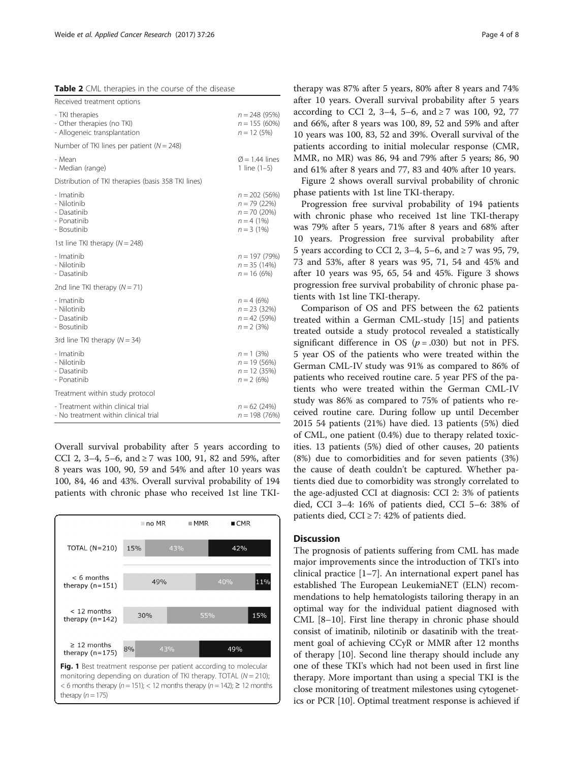<span id="page-3-0"></span>

|  |  | Table 2 CML therapies in the course of the disease |  |  |  |  |
|--|--|----------------------------------------------------|--|--|--|--|
|--|--|----------------------------------------------------|--|--|--|--|

| Received treatment options                                                    |                                                                                 |
|-------------------------------------------------------------------------------|---------------------------------------------------------------------------------|
| - TKI therapies<br>- Other therapies (no TKI)<br>- Allogeneic transplantation | $n = 248(95%)$<br>$n = 155(60%)$<br>$n = 12(5%)$                                |
| Number of TKI lines per patient ( $N = 248$ )                                 |                                                                                 |
| - Mean<br>- Median (range)                                                    | $\varnothing$ = 1.44 lines<br>1 line $(1-5)$                                    |
| Distribution of TKI therapies (basis 358 TKI lines)                           |                                                                                 |
| - Imatinib<br>- Nilotinib<br>- Dasatinib<br>- Ponatinib<br>- Bosutinib        | $n = 202(56%)$<br>$n = 79(22%)$<br>$n = 70(20%)$<br>$n = 4$ (1%)<br>$n = 3(1%)$ |
| 1st line TKI therapy $(N = 248)$                                              |                                                                                 |
| - Imatinib<br>- Nilotinib<br>- Dasatinib                                      | $n = 197(79%)$<br>$n = 35(14%)$<br>$n = 16(6%)$                                 |
| 2nd line TKI therapy $(N = 71)$                                               |                                                                                 |
| - Imatinib<br>- Nilotinib<br>- Dasatinib<br>- Bosutinib                       | $n = 4(6%)$<br>$n = 23(32%)$<br>$n = 42(59%)$<br>$n = 2$ (3%)                   |
| 3rd line TKI therapy $(N = 34)$                                               |                                                                                 |
| - Imatinib<br>- Nilotinib<br>- Dasatinib<br>- Ponatinib                       | $n = 1$ (3%)<br>$n = 19(56%)$<br>$n = 12(35%)$<br>$n = 2(6%)$                   |
| Treatment within study protocol                                               |                                                                                 |
| - Treatment within clinical trial<br>- No treatment within clinical trial     | $n = 62(24%)$<br>$n = 198(76%)$                                                 |

Overall survival probability after 5 years according to CCI 2, 3–4, 5–6, and  $\geq$  7 was 100, 91, 82 and 59%, after 8 years was 100, 90, 59 and 54% and after 10 years was 100, 84, 46 and 43%. Overall survival probability of 194 patients with chronic phase who received 1st line TKI-



therapy was 87% after 5 years, 80% after 8 years and 74% after 10 years. Overall survival probability after 5 years according to CCI 2, 3–4, 5–6, and ≥7 was 100, 92, 77 and 66%, after 8 years was 100, 89, 52 and 59% and after 10 years was 100, 83, 52 and 39%. Overall survival of the patients according to initial molecular response (CMR, MMR, no MR) was 86, 94 and 79% after 5 years; 86, 90 and 61% after 8 years and 77, 83 and 40% after 10 years.

Figure [2](#page-4-0) shows overall survival probability of chronic phase patients with 1st line TKI-therapy.

Progression free survival probability of 194 patients with chronic phase who received 1st line TKI-therapy was 79% after 5 years, 71% after 8 years and 68% after 10 years. Progression free survival probability after 5 years according to CCI 2, 3–4, 5–6, and  $\geq$  7 was 95, 79, 73 and 53%, after 8 years was 95, 71, 54 and 45% and after 10 years was 95, 65, 54 and 45%. Figure [3](#page-4-0) shows progression free survival probability of chronic phase patients with 1st line TKI-therapy.

Comparison of OS and PFS between the 62 patients treated within a German CML-study [\[15](#page-7-0)] and patients treated outside a study protocol revealed a statistically significant difference in OS ( $p = .030$ ) but not in PFS. 5 year OS of the patients who were treated within the German CML-IV study was 91% as compared to 86% of patients who received routine care. 5 year PFS of the patients who were treated within the German CML-IV study was 86% as compared to 75% of patients who received routine care. During follow up until December 2015 54 patients (21%) have died. 13 patients (5%) died of CML, one patient (0.4%) due to therapy related toxicities. 13 patients (5%) died of other causes, 20 patients (8%) due to comorbidities and for seven patients (3%) the cause of death couldn't be captured. Whether patients died due to comorbidity was strongly correlated to the age-adjusted CCI at diagnosis: CCI 2: 3% of patients died, CCI 3–4: 16% of patients died, CCI 5–6: 38% of patients died, CCI  $\geq$  7: 42% of patients died.

## **Discussion**

The prognosis of patients suffering from CML has made major improvements since the introduction of TKI's into clinical practice [\[1](#page-7-0)–[7](#page-7-0)]. An international expert panel has established The European LeukemiaNET (ELN) recommendations to help hematologists tailoring therapy in an optimal way for the individual patient diagnosed with CML [[8](#page-7-0)–[10\]](#page-7-0). First line therapy in chronic phase should consist of imatinib, nilotinib or dasatinib with the treatment goal of achieving CCyR or MMR after 12 months of therapy [\[10\]](#page-7-0). Second line therapy should include any one of these TKI's which had not been used in first line therapy. More important than using a special TKI is the close monitoring of treatment milestones using cytogenetics or PCR [\[10](#page-7-0)]. Optimal treatment response is achieved if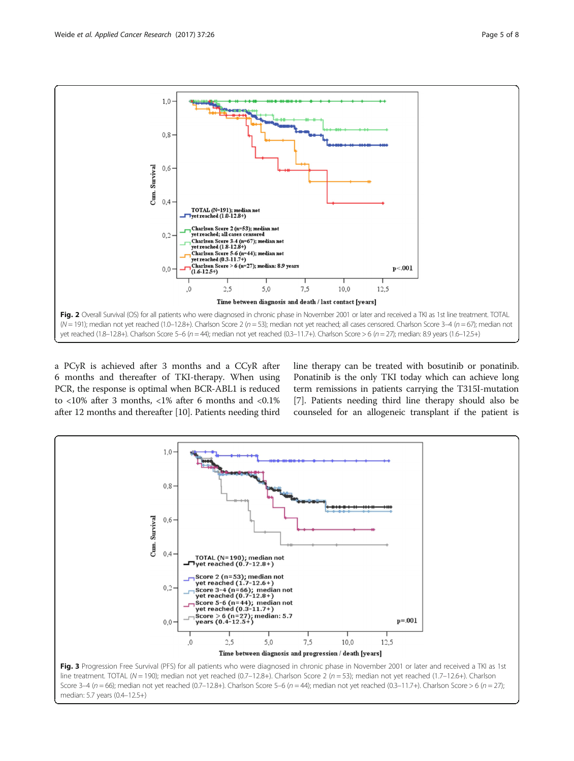<span id="page-4-0"></span>

a PCyR is achieved after 3 months and a CCyR after 6 months and thereafter of TKI-therapy. When using PCR, the response is optimal when BCR-ABL1 is reduced to <10% after 3 months, <1% after 6 months and <0.1% after 12 months and thereafter [[10](#page-7-0)]. Patients needing third line therapy can be treated with bosutinib or ponatinib. Ponatinib is the only TKI today which can achieve long term remissions in patients carrying the T315I-mutation [[7\]](#page-7-0). Patients needing third line therapy should also be counseled for an allogeneic transplant if the patient is

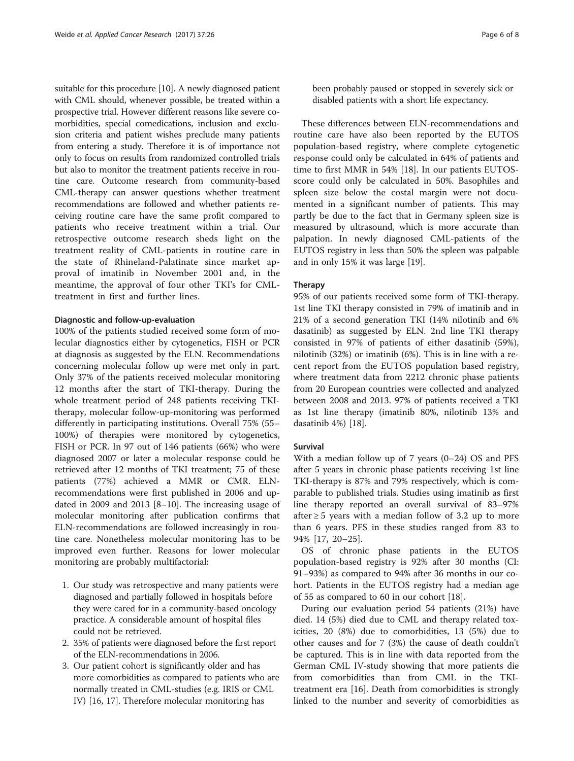suitable for this procedure [\[10\]](#page-7-0). A newly diagnosed patient with CML should, whenever possible, be treated within a prospective trial. However different reasons like severe comorbidities, special comedications, inclusion and exclusion criteria and patient wishes preclude many patients from entering a study. Therefore it is of importance not only to focus on results from randomized controlled trials but also to monitor the treatment patients receive in routine care. Outcome research from community-based CML-therapy can answer questions whether treatment recommendations are followed and whether patients receiving routine care have the same profit compared to patients who receive treatment within a trial. Our retrospective outcome research sheds light on the treatment reality of CML-patients in routine care in the state of Rhineland-Palatinate since market approval of imatinib in November 2001 and, in the meantime, the approval of four other TKI's for CMLtreatment in first and further lines.

## Diagnostic and follow-up-evaluation

100% of the patients studied received some form of molecular diagnostics either by cytogenetics, FISH or PCR at diagnosis as suggested by the ELN. Recommendations concerning molecular follow up were met only in part. Only 37% of the patients received molecular monitoring 12 months after the start of TKI-therapy. During the whole treatment period of 248 patients receiving TKItherapy, molecular follow-up-monitoring was performed differently in participating institutions. Overall 75% (55– 100%) of therapies were monitored by cytogenetics, FISH or PCR. In 97 out of 146 patients (66%) who were diagnosed 2007 or later a molecular response could be retrieved after 12 months of TKI treatment; 75 of these patients (77%) achieved a MMR or CMR. ELNrecommendations were first published in 2006 and updated in 2009 and 2013 [\[8](#page-7-0)–[10\]](#page-7-0). The increasing usage of molecular monitoring after publication confirms that ELN-recommendations are followed increasingly in routine care. Nonetheless molecular monitoring has to be improved even further. Reasons for lower molecular monitoring are probably multifactorial:

- 1. Our study was retrospective and many patients were diagnosed and partially followed in hospitals before they were cared for in a community-based oncology practice. A considerable amount of hospital files could not be retrieved.
- 2. 35% of patients were diagnosed before the first report of the ELN-recommendations in 2006.
- 3. Our patient cohort is significantly older and has more comorbidities as compared to patients who are normally treated in CML-studies (e.g. IRIS or CML IV) [[16](#page-7-0), [17\]](#page-7-0). Therefore molecular monitoring has

been probably paused or stopped in severely sick or disabled patients with a short life expectancy.

These differences between ELN-recommendations and routine care have also been reported by the EUTOS population-based registry, where complete cytogenetic response could only be calculated in 64% of patients and time to first MMR in 54% [\[18](#page-7-0)]. In our patients EUTOSscore could only be calculated in 50%. Basophiles and spleen size below the costal margin were not documented in a significant number of patients. This may partly be due to the fact that in Germany spleen size is measured by ultrasound, which is more accurate than palpation. In newly diagnosed CML-patients of the EUTOS registry in less than 50% the spleen was palpable and in only 15% it was large [\[19](#page-7-0)].

#### Therapy

95% of our patients received some form of TKI-therapy. 1st line TKI therapy consisted in 79% of imatinib and in 21% of a second generation TKI (14% nilotinib and 6% dasatinib) as suggested by ELN. 2nd line TKI therapy consisted in 97% of patients of either dasatinib (59%), nilotinib (32%) or imatinib (6%). This is in line with a recent report from the EUTOS population based registry, where treatment data from 2212 chronic phase patients from 20 European countries were collected and analyzed between 2008 and 2013. 97% of patients received a TKI as 1st line therapy (imatinib 80%, nilotinib 13% and dasatinib 4%) [\[18](#page-7-0)].

## Survival

With a median follow up of  $7$  years  $(0-24)$  OS and PFS after 5 years in chronic phase patients receiving 1st line TKI-therapy is 87% and 79% respectively, which is comparable to published trials. Studies using imatinib as first line therapy reported an overall survival of 83–97% after  $\geq$  5 years with a median follow of 3.2 up to more than 6 years. PFS in these studies ranged from 83 to 94% [[17, 20](#page-7-0)–[25](#page-7-0)].

OS of chronic phase patients in the EUTOS population-based registry is 92% after 30 months (CI: 91–93%) as compared to 94% after 36 months in our cohort. Patients in the EUTOS registry had a median age of 55 as compared to 60 in our cohort [[18\]](#page-7-0).

During our evaluation period 54 patients (21%) have died. 14 (5%) died due to CML and therapy related toxicities, 20 (8%) due to comorbidities, 13 (5%) due to other causes and for 7 (3%) the cause of death couldn't be captured. This is in line with data reported from the German CML IV-study showing that more patients die from comorbidities than from CML in the TKItreatment era [\[16\]](#page-7-0). Death from comorbidities is strongly linked to the number and severity of comorbidities as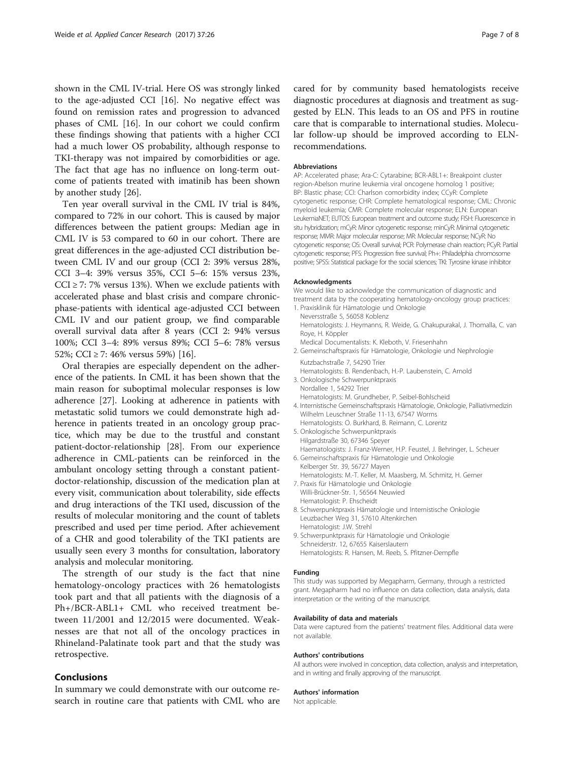shown in the CML IV-trial. Here OS was strongly linked to the age-adjusted CCI [\[16](#page-7-0)]. No negative effect was found on remission rates and progression to advanced phases of CML [[16](#page-7-0)]. In our cohort we could confirm these findings showing that patients with a higher CCI had a much lower OS probability, although response to TKI-therapy was not impaired by comorbidities or age. The fact that age has no influence on long-term outcome of patients treated with imatinib has been shown by another study [[26](#page-7-0)].

Ten year overall survival in the CML IV trial is 84%, compared to 72% in our cohort. This is caused by major differences between the patient groups: Median age in CML IV is 53 compared to 60 in our cohort. There are great differences in the age-adjusted CCI distribution between CML IV and our group (CCI 2: 39% versus 28%, CCI 3–4: 39% versus 35%, CCI 5–6: 15% versus 23%,  $CCI \ge 7$ : 7% versus 13%). When we exclude patients with accelerated phase and blast crisis and compare chronicphase-patients with identical age-adjusted CCI between CML IV and our patient group, we find comparable overall survival data after 8 years (CCI 2: 94% versus 100%; CCI 3–4: 89% versus 89%; CCI 5–6: 78% versus 52%; CCI ≥ 7: 46% versus 59%) [\[16](#page-7-0)].

Oral therapies are especially dependent on the adherence of the patients. In CML it has been shown that the main reason for suboptimal molecular responses is low adherence [\[27](#page-7-0)]. Looking at adherence in patients with metastatic solid tumors we could demonstrate high adherence in patients treated in an oncology group practice, which may be due to the trustful and constant patient-doctor-relationship [\[28](#page-7-0)]. From our experience adherence in CML-patients can be reinforced in the ambulant oncology setting through a constant patientdoctor-relationship, discussion of the medication plan at every visit, communication about tolerability, side effects and drug interactions of the TKI used, discussion of the results of molecular monitoring and the count of tablets prescribed and used per time period. After achievement of a CHR and good tolerability of the TKI patients are usually seen every 3 months for consultation, laboratory analysis and molecular monitoring.

The strength of our study is the fact that nine hematology-oncology practices with 26 hematologists took part and that all patients with the diagnosis of a Ph+/BCR-ABL1+ CML who received treatment between 11/2001 and 12/2015 were documented. Weaknesses are that not all of the oncology practices in Rhineland-Palatinate took part and that the study was retrospective.

## Conclusions

In summary we could demonstrate with our outcome research in routine care that patients with CML who are cared for by community based hematologists receive diagnostic procedures at diagnosis and treatment as suggested by ELN. This leads to an OS and PFS in routine care that is comparable to international studies. Molecular follow-up should be improved according to ELNrecommendations.

#### Abbreviations

AP: Accelerated phase; Ara-C: Cytarabine; BCR-ABL1+: Breakpoint cluster region-Abelson murine leukemia viral oncogene homolog 1 positive; BP: Blastic phase; CCI: Charlson comorbidity index; CCyR: Complete cytogenetic response; CHR: Complete hematological response; CML: Chronic myeloid leukemia; CMR: Complete molecular response; ELN: European LeukemiaNET; EUTOS: European treatment and outcome study; FISH: Fluorescence in situ hybridization; mCyR: Minor cytogenetic response; minCyR: Minimal cytogenetic response; MMR: Major molecular response; MR: Molecular response; NCyR: No cytogenetic response; OS: Overall survival; PCR: Polymerase chain reaction; PCyR: Partial cytogenetic response; PFS: Progression free survival; Ph+: Philadelphia chromosome positive; SPSS: Statistical package for the social sciences; TKI: Tyrosine kinase inhibitor

#### Acknowledgments

We would like to acknowledge the communication of diagnostic and treatment data by the cooperating hematology-oncology group practices:

- 1. Praxisklinik für Hämatologie und Onkologie Neversstraße 5, 56058 Koblenz Hematologists: J. Heymanns, R. Weide, G. Chakupurakal, J. Thomalla, C. van Roye, H. Köppler Medical Documentalists: K. Kleboth, V. Friesenhahn
- 2. Gemeinschaftspraxis für Hämatologie, Onkologie und Nephrologie Kutzbachstraße 7, 54290 Trier

Hematologists: B. Rendenbach, H.-P. Laubenstein, C. Arnold 3. Onkologische Schwerpunktpraxis

- Nordallee 1, 54292 Trier Hematologists: M. Grundheber, P. Seibel-Bohlscheid
- 4. Internistische Gemeinschaftspraxis Hämatologie, Onkologie, Palliativmedizin Wilhelm Leuschner Straße 11-13, 67547 Worms
- Hematologists: O. Burkhard, B. Reimann, C. Lorentz 5. Onkologische Schwerpunktpraxis
- Hilgardstraße 30, 67346 Speyer Haematologists: J. Franz-Werner, H.P. Feustel, J. Behringer, L. Scheuer
- 6. Gemeinschaftspraxis für Hämatologie und Onkologie Kelberger Str. 39, 56727 Mayen Hematologists: M.-T. Keller, M. Maasberg, M. Schmitz, H. Gerner
- 7. Praxis für Hämatologie und Onkologie
- Willi-Brückner-Str. 1, 56564 Neuwied Hematologist: P. Ehscheidt
- 8. Schwerpunktpraxis Hämatologie und Internistische Onkologie Leuzbacher Weg 31, 57610 Altenkirchen Hematologist: J.W. Strehl
- 9. Schwerpunktpraxis für Hämatologie und Onkologie Schneiderstr. 12, 67655 Kaiserslautern Hematologists: R. Hansen, M. Reeb, S. Pfitzner-Dempfle

#### Funding

This study was supported by Megapharm, Germany, through a restricted grant. Megapharm had no influence on data collection, data analysis, data interpretation or the writing of the manuscript.

#### Availability of data and materials

Data were captured from the patients' treatment files. Additional data were not available.

#### Authors' contributions

All authors were involved in conception, data collection, analysis and interpretation, and in writing and finally approving of the manuscript.

#### Authors' information

Not applicable.